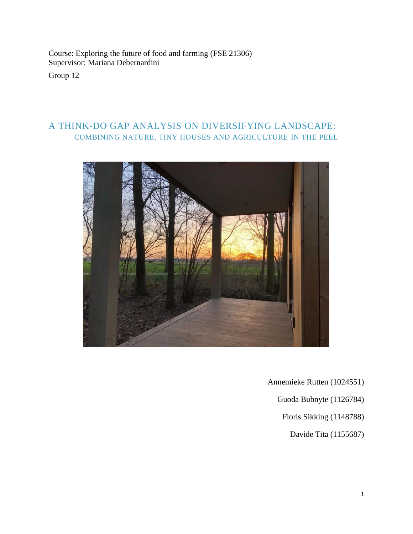Course: Exploring the future of food and farming (FSE 21306) Supervisor: Mariana Debernardini

Group 12

## A THINK-DO GAP ANALYSIS ON DIVERSIFYING LANDSCAPE: COMBINING NATURE, TINY HOUSES AND AGRICULTURE IN THE PEEL



Annemieke Rutten (1024551)

Guoda Bubnyte (1126784)

Floris Sikking (1148788)

Davide Tita (1155687)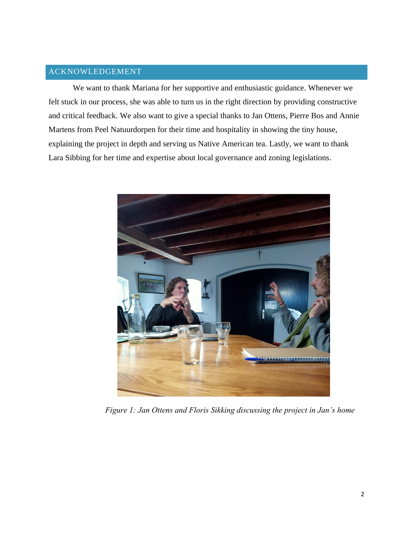## ACKNOWLEDGEMENT

We want to thank Mariana for her supportive and enthusiastic guidance. Whenever we felt stuck in our process, she was able to turn us in the right direction by providing constructive and critical feedback. We also want to give a special thanks to Jan Ottens, Pierre Bos and Annie Martens from Peel Natuurdorpen for their time and hospitality in showing the tiny house, explaining the project in depth and serving us Native American tea. Lastly, we want to thank Lara Sibbing for her time and expertise about local governance and zoning legislations.



*Figure 1: Jan Ottens and Floris Sikking discussing the project in Jan's home*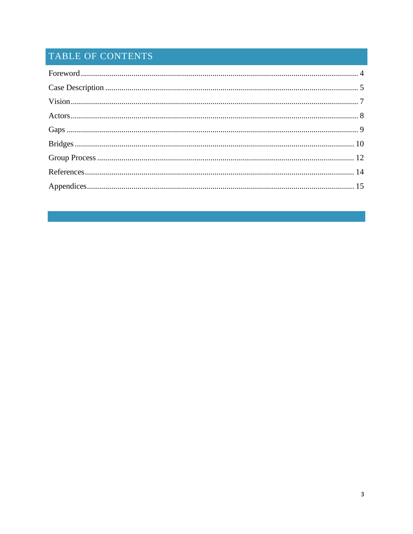# TABLE OF CONTENTS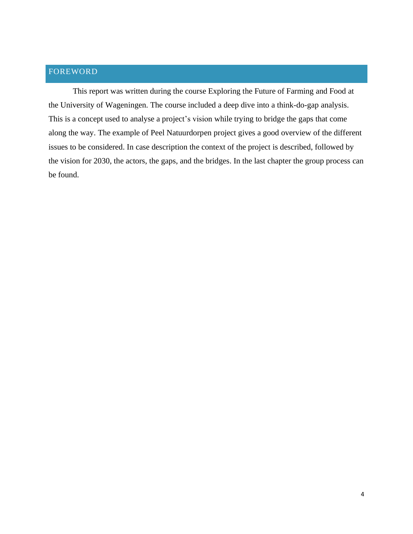## <span id="page-3-0"></span>FOREWORD

This report was written during the course Exploring the Future of Farming and Food at the University of Wageningen. The course included a deep dive into a think-do-gap analysis. This is a concept used to analyse a project's vision while trying to bridge the gaps that come along the way. The example of Peel Natuurdorpen project gives a good overview of the different issues to be considered. In case description the context of the project is described, followed by the vision for 2030, the actors, the gaps, and the bridges. In the last chapter the group process can be found.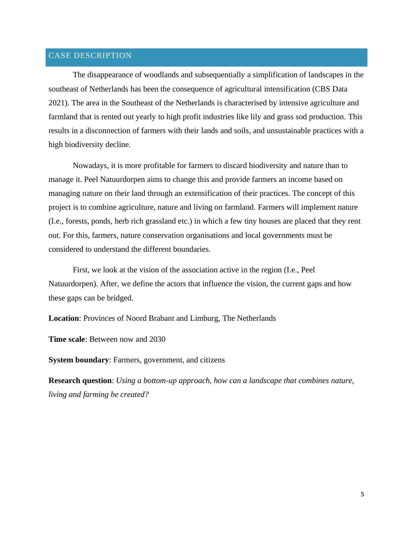## <span id="page-4-0"></span>CASE DESCRIPTION

The disappearance of woodlands and subsequentially a simplification of landscapes in the southeast of Netherlands has been the consequence of agricultural intensification (CBS Data 2021). The area in the Southeast of the Netherlands is characterised by intensive agriculture and farmland that is rented out yearly to high profit industries like lily and grass sod production. This results in a disconnection of farmers with their lands and soils, and unsustainable practices with a high biodiversity decline.

Nowadays, it is more profitable for farmers to discard biodiversity and nature than to manage it. Peel Natuurdorpen aims to change this and provide farmers an income based on managing nature on their land through an extensification of their practices. The concept of this project is to combine agriculture, nature and living on farmland. Farmers will implement nature (I.e., forests, ponds, herb rich grassland etc.) in which a few tiny houses are placed that they rent out. For this, farmers, nature conservation organisations and local governments must be considered to understand the different boundaries.

First, we look at the vision of the association active in the region (I.e., Peel Natuurdorpen). After, we define the actors that influence the vision, the current gaps and how these gaps can be bridged.

**Location**: Provinces of Noord Brabant and Limburg, The Netherlands

**Time scale**: Between now and 2030

**System boundary**: Farmers, government, and citizens

**Research question**: *Using a bottom-up approach, how can a landscape that combines nature, living and farming be created?*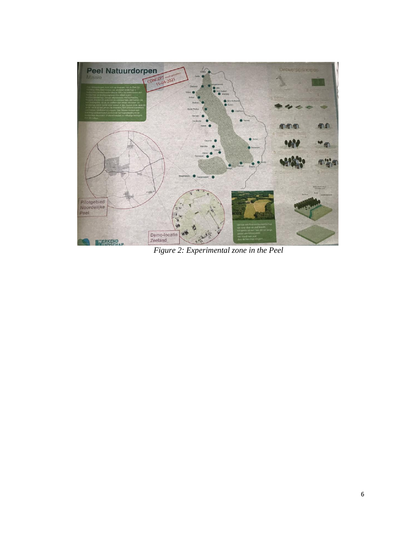

*Figure 2: Experimental zone in the Peel*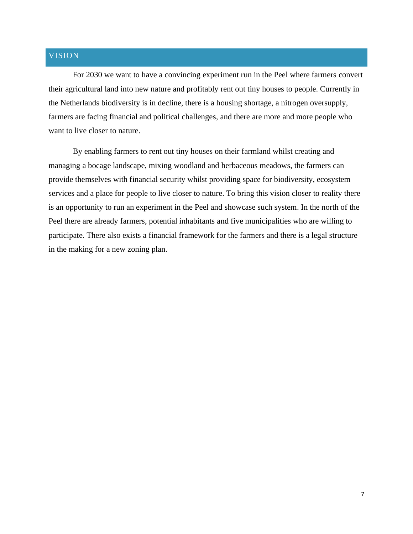## <span id="page-6-0"></span>VISION

For 2030 we want to have a convincing experiment run in the Peel where farmers convert their agricultural land into new nature and profitably rent out tiny houses to people. Currently in the Netherlands biodiversity is in decline, there is a housing shortage, a nitrogen oversupply, farmers are facing financial and political challenges, and there are more and more people who want to live closer to nature.

By enabling farmers to rent out tiny houses on their farmland whilst creating and managing a bocage landscape, mixing woodland and herbaceous meadows, the farmers can provide themselves with financial security whilst providing space for biodiversity, ecosystem services and a place for people to live closer to nature. To bring this vision closer to reality there is an opportunity to run an experiment in the Peel and showcase such system. In the north of the Peel there are already farmers, potential inhabitants and five municipalities who are willing to participate. There also exists a financial framework for the farmers and there is a legal structure in the making for a new zoning plan.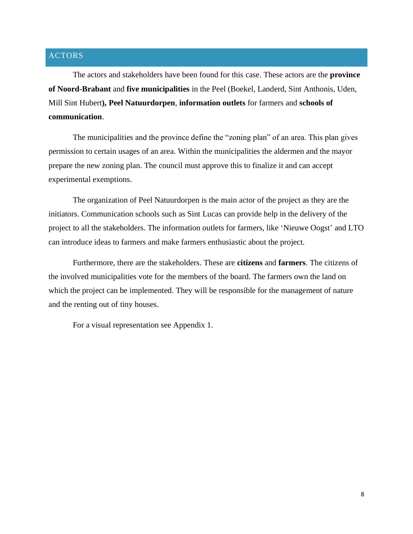## <span id="page-7-0"></span>ACTORS

The actors and stakeholders have been found for this case. These actors are the **province of Noord-Brabant** and **five municipalities** in the Peel (Boekel, Landerd, Sint Anthonis, Uden, Mill Sint Hubert**), Peel Natuurdorpen**, **information outlets** for farmers and **schools of communication**.

The municipalities and the province define the "zoning plan" of an area. This plan gives permission to certain usages of an area. Within the municipalities the aldermen and the mayor prepare the new zoning plan. The council must approve this to finalize it and can accept experimental exemptions.

The organization of Peel Natuurdorpen is the main actor of the project as they are the initiators. Communication schools such as Sint Lucas can provide help in the delivery of the project to all the stakeholders. The information outlets for farmers, like 'Nieuwe Oogst' and LTO can introduce ideas to farmers and make farmers enthusiastic about the project.

Furthermore, there are the stakeholders. These are **citizens** and **farmers**. The citizens of the involved municipalities vote for the members of the board. The farmers own the land on which the project can be implemented. They will be responsible for the management of nature and the renting out of tiny houses.

For a visual representation see Appendix 1.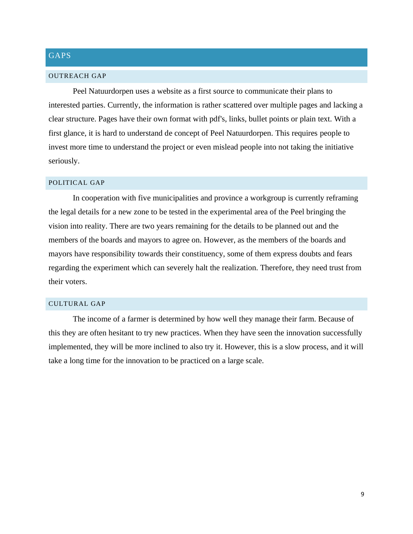## <span id="page-8-0"></span>GAPS

#### OUTREACH GAP

Peel Natuurdorpen uses a website as a first source to communicate their plans to interested parties. Currently, the information is rather scattered over multiple pages and lacking a clear structure. Pages have their own format with pdf's, links, bullet points or plain text. With a first glance, it is hard to understand de concept of Peel Natuurdorpen. This requires people to invest more time to understand the project or even mislead people into not taking the initiative seriously.

#### POLITICAL GAP

In cooperation with five municipalities and province a workgroup is currently reframing the legal details for a new zone to be tested in the experimental area of the Peel bringing the vision into reality. There are two years remaining for the details to be planned out and the members of the boards and mayors to agree on. However, as the members of the boards and mayors have responsibility towards their constituency, some of them express doubts and fears regarding the experiment which can severely halt the realization. Therefore, they need trust from their voters.

#### CULTURAL GAP

The income of a farmer is determined by how well they manage their farm. Because of this they are often hesitant to try new practices. When they have seen the innovation successfully implemented, they will be more inclined to also try it. However, this is a slow process, and it will take a long time for the innovation to be practiced on a large scale.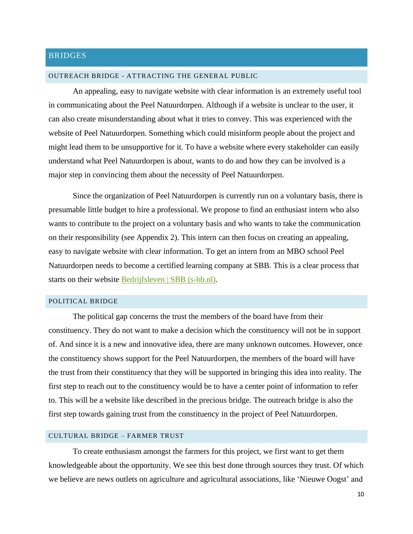## <span id="page-9-0"></span>**BRIDGES**

#### OUTREACH BRIDGE - ATTRACTING THE GENERAL PUBLIC

An appealing, easy to navigate website with clear information is an extremely useful tool in communicating about the Peel Natuurdorpen. Although if a website is unclear to the user, it can also create misunderstanding about what it tries to convey. This was experienced with the website of Peel Natuurdorpen. Something which could misinform people about the project and might lead them to be unsupportive for it. To have a website where every stakeholder can easily understand what Peel Natuurdorpen is about, wants to do and how they can be involved is a major step in convincing them about the necessity of Peel Natuurdorpen.

Since the organization of Peel Natuurdorpen is currently run on a voluntary basis, there is presumable little budget to hire a professional. We propose to find an enthusiast intern who also wants to contribute to the project on a voluntary basis and who wants to take the communication on their responsibility (see Appendix 2). This intern can then focus on creating an appealing, easy to navigate website with clear information. To get an intern from an MBO school Peel Natuurdorpen needs to become a certified learning company at SBB. This is a clear process that starts on their website [Bedrijfsleven | SBB \(s-bb.nl\).](https://www.s-bb.nl/bedrijven/)

#### POLITICAL BRIDGE

The political gap concerns the trust the members of the board have from their constituency. They do not want to make a decision which the constituency will not be in support of. And since it is a new and innovative idea, there are many unknown outcomes. However, once the constituency shows support for the Peel Natuurdorpen, the members of the board will have the trust from their constituency that they will be supported in bringing this idea into reality. The first step to reach out to the constituency would be to have a center point of information to refer to. This will be a website like described in the precious bridge. The outreach bridge is also the first step towards gaining trust from the constituency in the project of Peel Natuurdorpen.

#### CULTURAL BRIDGE – FARMER TRUST

To create enthusiasm amongst the farmers for this project, we first want to get them knowledgeable about the opportunity. We see this best done through sources they trust. Of which we believe are news outlets on agriculture and agricultural associations, like 'Nieuwe Oogst' and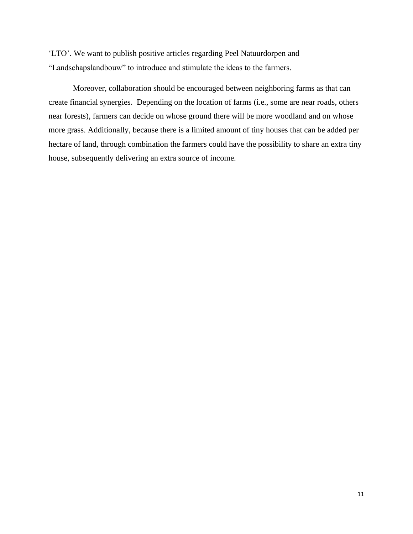'LTO'. We want to publish positive articles regarding Peel Natuurdorpen and "Landschapslandbouw" to introduce and stimulate the ideas to the farmers.

Moreover, collaboration should be encouraged between neighboring farms as that can create financial synergies. Depending on the location of farms (i.e., some are near roads, others near forests), farmers can decide on whose ground there will be more woodland and on whose more grass. Additionally, because there is a limited amount of tiny houses that can be added per hectare of land, through combination the farmers could have the possibility to share an extra tiny house, subsequently delivering an extra source of income.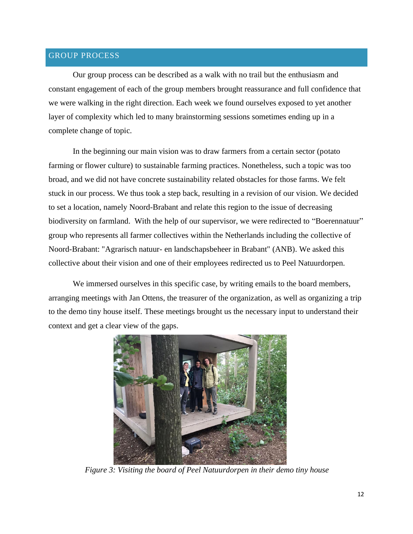### <span id="page-11-0"></span>GROUP PROCESS

Our group process can be described as a walk with no trail but the enthusiasm and constant engagement of each of the group members brought reassurance and full confidence that we were walking in the right direction. Each week we found ourselves exposed to yet another layer of complexity which led to many brainstorming sessions sometimes ending up in a complete change of topic.

In the beginning our main vision was to draw farmers from a certain sector (potato farming or flower culture) to sustainable farming practices. Nonetheless, such a topic was too broad, and we did not have concrete sustainability related obstacles for those farms. We felt stuck in our process. We thus took a step back, resulting in a revision of our vision. We decided to set a location, namely Noord-Brabant and relate this region to the issue of decreasing biodiversity on farmland. With the help of our supervisor, we were redirected to "Boerennatuur" group who represents all farmer collectives within the Netherlands including the collective of Noord-Brabant: "Agrarisch natuur- en landschapsbeheer in Brabant" (ANB). We asked this collective about their vision and one of their employees redirected us to Peel Natuurdorpen.

We immersed ourselves in this specific case, by writing emails to the board members, arranging meetings with Jan Ottens, the treasurer of the organization, as well as organizing a trip to the demo tiny house itself. These meetings brought us the necessary input to understand their context and get a clear view of the gaps.



*Figure 3: Visiting the board of Peel Natuurdorpen in their demo tiny house*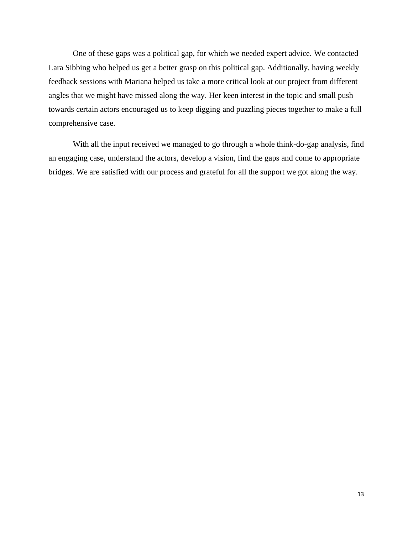One of these gaps was a political gap, for which we needed expert advice. We contacted Lara Sibbing who helped us get a better grasp on this political gap. Additionally, having weekly feedback sessions with Mariana helped us take a more critical look at our project from different angles that we might have missed along the way. Her keen interest in the topic and small push towards certain actors encouraged us to keep digging and puzzling pieces together to make a full comprehensive case.

With all the input received we managed to go through a whole think-do-gap analysis, find an engaging case, understand the actors, develop a vision, find the gaps and come to appropriate bridges. We are satisfied with our process and grateful for all the support we got along the way.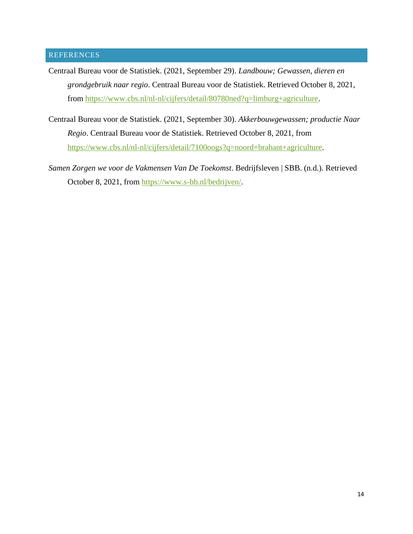## <span id="page-13-0"></span>REFERENCES

- Centraal Bureau voor de Statistiek. (2021, September 29). *Landbouw; Gewassen, dieren en grondgebruik naar regio*. Centraal Bureau voor de Statistiek. Retrieved October 8, 2021, from [https://www.cbs.nl/nl-nl/cijfers/detail/80780ned?q=limburg+agriculture.](https://www.cbs.nl/nl-nl/cijfers/detail/80780ned?q=limburg+agriculture)
- Centraal Bureau voor de Statistiek. (2021, September 30). *Akkerbouwgewassen; productie Naar Regio*. Centraal Bureau voor de Statistiek. Retrieved October 8, 2021, from [https://www.cbs.nl/nl-nl/cijfers/detail/7100oogs?q=noord+brabant+agriculture.](https://www.cbs.nl/nl-nl/cijfers/detail/7100oogs?q=noord+brabant+agriculture)
- *Samen Zorgen we voor de Vakmensen Van De Toekomst*. Bedrijfsleven | SBB. (n.d.). Retrieved October 8, 2021, from [https://www.s-bb.nl/bedrijven/.](https://www.s-bb.nl/bedrijven/)